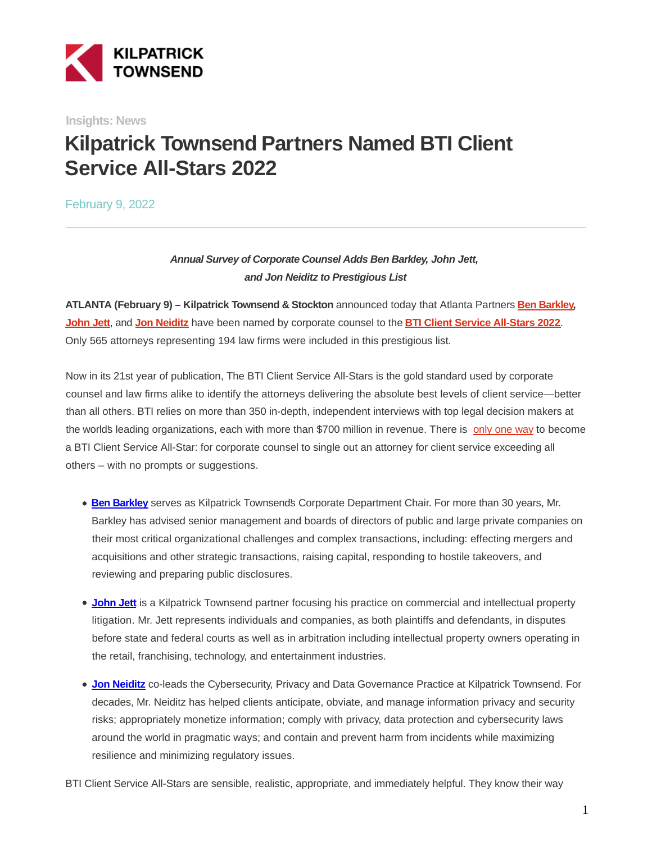

**Insights: News**

# **Kilpatrick Townsend Partners Named BTI Client Service All-Stars 2022**

February 9, 2022

## **Annual Survey of Corporate Counsel Adds Ben Barkley, John Jett, and Jon Neiditz to Prestigious List**

**ATLANTA (February 9) – Kilpatrick Townsend & Stockton** announced today that Atlanta Partners **[Ben Barkley,](https://bticonsulting.com/allstars/W-Benjamin-Barkley#allstar) [John Jett](https://bticonsulting.com/allstars/John-P-Jett#allstar)**, and **[Jon Neiditz](https://bticonsulting.com/allstars/Jon-Neiditz#allstar)** have been named by corporate counsel to the **[BTI Client Service All-Stars 2022](https://bticonsulting.com/bticlientserviceallstars)**. Only 565 attorneys representing 194 law firms were included in this prestigious list.

Now in its 21st year of publication, The BTI Client Service All-Stars is the gold standard used by corporate counsel and law firms alike to identify the attorneys delivering the absolute best levels of client service—better than all others. BTI relies on more than 350 in-depth, independent interviews with top legal decision makers at the world's leading organizations, each with more than \$700 million in revenue. There is [only one way t](https://bticonsulting.com/bti-client-service-all-stars-methodology)o become a BTI Client Service All-Star: for corporate counsel to single out an attorney for client service exceeding all others – with no prompts or suggestions.

- **[Ben Barkley](https://bticonsulting.com/allstars/W-Benjamin-Barkley#allstar)** serves as Kilpatrick Townsend's Corporate Department Chair. For more than 30 years, Mr. Barkley has advised senior management and boards of directors of public and large private companies on their most critical organizational challenges and complex transactions, including: effecting mergers and acquisitions and other strategic transactions, raising capital, responding to hostile takeovers, and reviewing and preparing public disclosures.
- **[John Jett](https://bticonsulting.com/allstars/John-P-Jett#allstar)** is a Kilpatrick Townsend partner focusing his practice on commercial and intellectual property litigation. Mr. Jett represents individuals and companies, as both plaintiffs and defendants, in disputes before state and federal courts as well as in arbitration including intellectual property owners operating in the retail, franchising, technology, and entertainment industries.
- **[Jon Neiditz](https://bticonsulting.com/allstars/Jon-Neiditz#allstar)** co-leads the Cybersecurity, Privacy and Data Governance Practice at Kilpatrick Townsend. For decades, Mr. Neiditz has helped clients anticipate, obviate, and manage information privacy and security risks; appropriately monetize information; comply with privacy, data protection and cybersecurity laws around the world in pragmatic ways; and contain and prevent harm from incidents while maximizing resilience and minimizing regulatory issues.
- BTI Client Service All-Stars are sensible, realistic, appropriate, and immediately helpful. They know their way